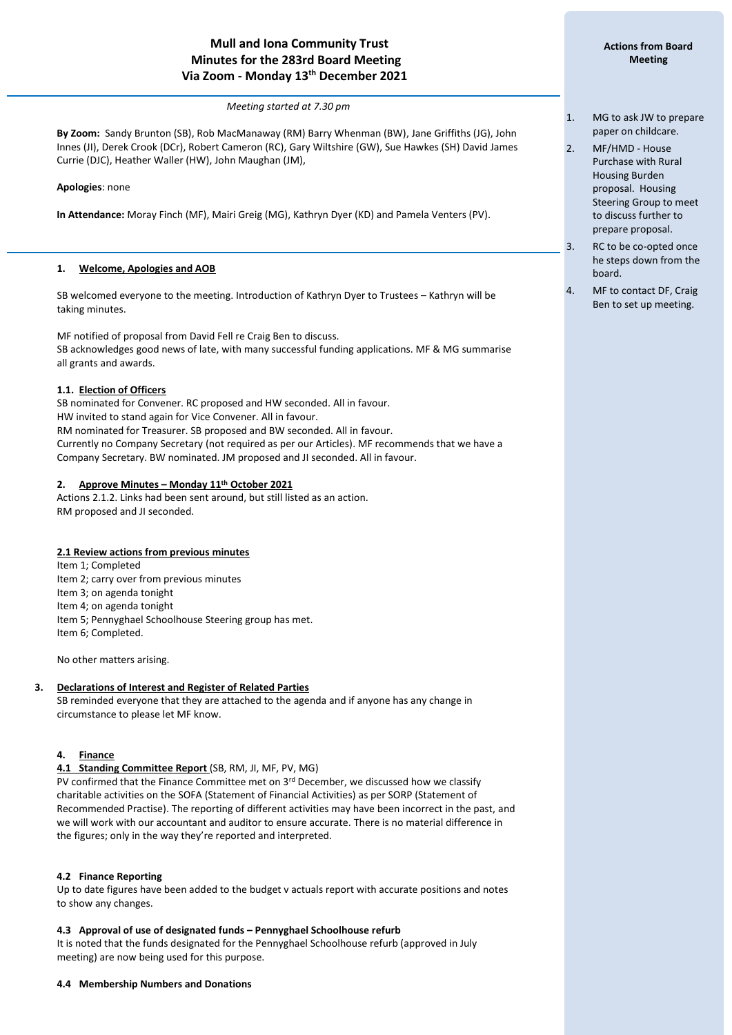# **Mull and Iona Community Trust Minutes for the 283rd Board Meeting Via Zoom - Monday 13 th December 2021**

#### *Meeting started at 7.30 pm*

**By Zoom:** Sandy Brunton (SB), Rob MacManaway (RM) Barry Whenman (BW), Jane Griffiths (JG), John Innes (JI), Derek Crook (DCr), Robert Cameron (RC), Gary Wiltshire (GW), Sue Hawkes (SH) David James Currie (DJC), Heather Waller (HW), John Maughan (JM),

**Apologies**: none

í

**In Attendance:** Moray Finch (MF), Mairi Greig (MG), Kathryn Dyer (KD) and Pamela Venters (PV).

#### **1. Welcome, Apologies and AOB**

SB welcomed everyone to the meeting. Introduction of Kathryn Dyer to Trustees – Kathryn will be taking minutes.

MF notified of proposal from David Fell re Craig Ben to discuss. SB acknowledges good news of late, with many successful funding applications. MF & MG summarise all grants and awards.

#### **1.1. Election of Officers**

SB nominated for Convener. RC proposed and HW seconded. All in favour. HW invited to stand again for Vice Convener. All in favour. RM nominated for Treasurer. SB proposed and BW seconded. All in favour. Currently no Company Secretary (not required as per our Articles). MF recommends that we have a Company Secretary. BW nominated. JM proposed and JI seconded. All in favour.

#### **2. Approve Minutes – Monday 11 th October 2021**

Actions 2.1.2. Links had been sent around, but still listed as an action. RM proposed and JI seconded.

#### **2.1 Review actions from previous minutes**

Item 1; Completed Item 2; carry over from previous minutes Item 3; on agenda tonight Item 4; on agenda tonight Item 5; Pennyghael Schoolhouse Steering group has met. Item 6; Completed.

No other matters arising.

## **3. Declarations of Interest and Register of Related Parties**

SB reminded everyone that they are attached to the agenda and if anyone has any change in circumstance to please let MF know.

# **4. Finance**

#### **4.1 Standing Committee Report** (SB, RM, JI, MF, PV, MG)

PV confirmed that the Finance Committee met on  $3<sup>rd</sup>$  December, we discussed how we classify charitable activities on the SOFA (Statement of Financial Activities) as per SORP (Statement of Recommended Practise). The reporting of different activities may have been incorrect in the past, and we will work with our accountant and auditor to ensure accurate. There is no material difference in the figures; only in the way they're reported and interpreted.

#### **4.2 Finance Reporting**

Up to date figures have been added to the budget v actuals report with accurate positions and notes to show any changes.

#### **4.3 Approval of use of designated funds – Pennyghael Schoolhouse refurb**

It is noted that the funds designated for the Pennyghael Schoolhouse refurb (approved in July meeting) are now being used for this purpose.

#### **4.4 Membership Numbers and Donations**

- 1. MG to ask JW to prepare paper on childcare.
- 2. MF/HMD House Purchase with Rural Housing Burden proposal. Housing Steering Group to meet to discuss further to prepare proposal.
- 3. RC to be co-opted once he steps down from the board.
- 4. MF to contact DF, Craig Ben to set up meeting.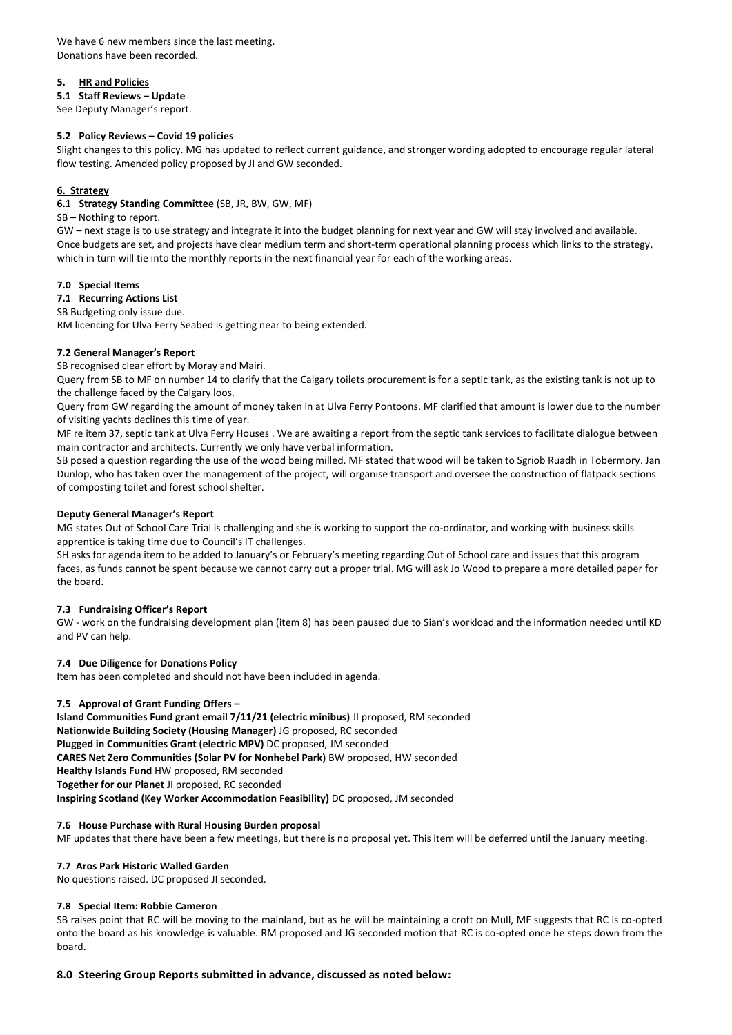We have 6 new members since the last meeting. Donations have been recorded.

## **5. HR and Policies**

#### **5.1 Staff Reviews – Update**

See Deputy Manager's report.

## **5.2 Policy Reviews – Covid 19 policies**

Slight changes to this policy. MG has updated to reflect current guidance, and stronger wording adopted to encourage regular lateral flow testing. Amended policy proposed by JI and GW seconded.

# **6. Strategy**

**6.1 Strategy Standing Committee** (SB, JR, BW, GW, MF)

#### SB – Nothing to report.

GW – next stage is to use strategy and integrate it into the budget planning for next year and GW will stay involved and available. Once budgets are set, and projects have clear medium term and short-term operational planning process which links to the strategy, which in turn will tie into the monthly reports in the next financial year for each of the working areas.

# **7.0 Special Items**

#### **7.1 Recurring Actions List**

SB Budgeting only issue due.

RM licencing for Ulva Ferry Seabed is getting near to being extended.

#### **7.2 General Manager's Report**

SB recognised clear effort by Moray and Mairi.

Query from SB to MF on number 14 to clarify that the Calgary toilets procurement is for a septic tank, as the existing tank is not up to the challenge faced by the Calgary loos.

Query from GW regarding the amount of money taken in at Ulva Ferry Pontoons. MF clarified that amount is lower due to the number of visiting yachts declines this time of year.

MF re item 37, septic tank at Ulva Ferry Houses . We are awaiting a report from the septic tank services to facilitate dialogue between main contractor and architects. Currently we only have verbal information.

SB posed a question regarding the use of the wood being milled. MF stated that wood will be taken to Sgriob Ruadh in Tobermory. Jan Dunlop, who has taken over the management of the project, will organise transport and oversee the construction of flatpack sections of composting toilet and forest school shelter.

#### **Deputy General Manager's Report**

MG states Out of School Care Trial is challenging and she is working to support the co-ordinator, and working with business skills apprentice is taking time due to Council's IT challenges.

SH asks for agenda item to be added to January's or February's meeting regarding Out of School care and issues that this program faces, as funds cannot be spent because we cannot carry out a proper trial. MG will ask Jo Wood to prepare a more detailed paper for the board.

#### **7.3 Fundraising Officer's Report**

GW - work on the fundraising development plan (item 8) has been paused due to Sian's workload and the information needed until KD and PV can help.

#### **7.4 Due Diligence for Donations Policy**

Item has been completed and should not have been included in agenda.

#### **7.5 Approval of Grant Funding Offers –**

**Island Communities Fund grant email 7/11/21 (electric minibus)** JI proposed, RM seconded **Nationwide Building Society (Housing Manager)** JG proposed, RC seconded **Plugged in Communities Grant (electric MPV)** DC proposed, JM seconded **CARES Net Zero Communities (Solar PV for Nonhebel Park)** BW proposed, HW seconded **Healthy Islands Fund** HW proposed, RM seconded **Together for our Planet** JI proposed, RC seconded **Inspiring Scotland (Key Worker Accommodation Feasibility)** DC proposed, JM seconded

#### **7.6 House Purchase with Rural Housing Burden proposal**

MF updates that there have been a few meetings, but there is no proposal yet. This item will be deferred until the January meeting.

#### **7.7 Aros Park Historic Walled Garden**

No questions raised. DC proposed JI seconded.

#### **7.8 Special Item: Robbie Cameron**

SB raises point that RC will be moving to the mainland, but as he will be maintaining a croft on Mull, MF suggests that RC is co-opted onto the board as his knowledge is valuable. RM proposed and JG seconded motion that RC is co-opted once he steps down from the board.

#### **8.0 Steering Group Reports submitted in advance, discussed as noted below:**